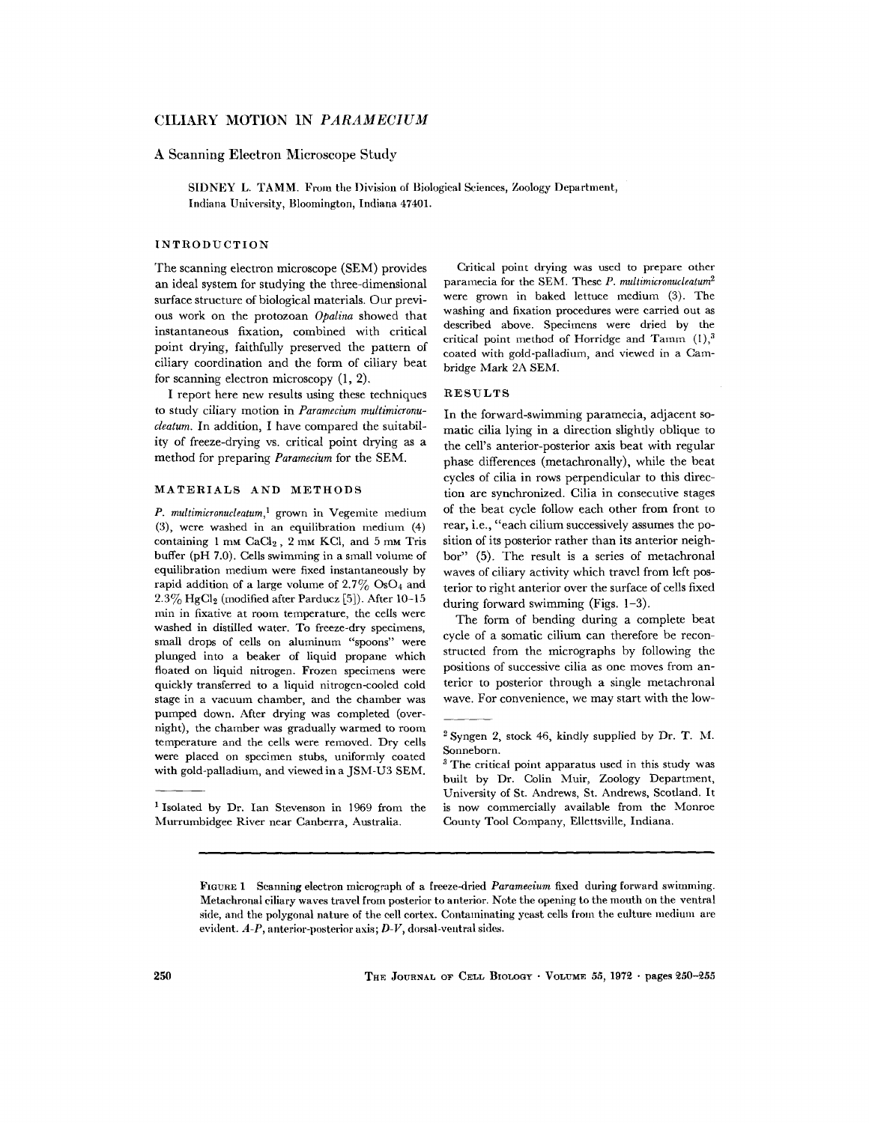# CILIARY MOTION IN PARAMECIUM

## A Scanning Electron Microscope Study

SIDNEY L. TAMM. From the Division of Biological Sciences, Zoology Department, Indiana University, Bloomington, Indiana 47401.

# INTRODUCTION

The scanning electron microscope (SEM) provides an ideal system for studying the three-dimensional surface structure of biological materials . Our previous work on the protozoan Opalina showed that instantaneous fixation, combined with critical point drying, faithfully preserved the pattern of ciliary coordination and the form of ciliary beat for scanning electron microscopy (1, 2) .

I report here new results using these techniques to study ciliary motion in Paramecium multimicronu $clearum$ . In addition, I have compared the suitability of freeze-drying vs. critical point drying as a method for preparing Paramecium for the SEM.

#### MATERIALS AND METHODS

P. multimicronucleatum,<sup>1</sup> grown in Vegemite medium (3), were washed in an equilibration medium (4) containing  $1 \text{ mm } \text{CaCl}_2$ ,  $2 \text{ mm } \text{KCl}$ , and  $5 \text{ mm } \text{Tris}$ buffer (pH 7.0) . Cells swimming in a small volume of equilibration medium were fixed instantaneously by rapid addition of a large volume of  $2.7\%$  OsO<sub>4</sub> and  $2.3\%$  HgCl<sub>2</sub> (modified after Parducz [5]). After 10-15 min in fixative at room temperature, the cells were washed in distilled water. To freeze-dry specimens, small drops of cells on aluminum "spoons" were plunged into a beaker of liquid propane which floated on liquid nitrogen. Frozen specimens were quickly transferred to a liquid nitrogen-cooled cold stage in a vacuum chamber, and the chamber was pumped down. After drying was completed (overnight), the chamber was gradually warmed to room temperature and the cells were removed. Dry cells were placed on specimen stubs, uniformly coated with gold-palladium, and viewed in a JSM-U3 SEM.

<sup>1</sup> Isolated by Dr. Ian Stevenson in 1969 from the Murrumbidgee River near Canberra, Australia.

Critical point drying was used to prepare other paramecia for the SEM. These  $P$ . multimicronucleatum<sup>2</sup> were grown in baked lettuce medium (3). The washing and fixation procedures were carried out as described above. Specimens were dried by the critical point method of Horridge and Tamm  $(1),$ <sup>3</sup> coated with gold-palladium, and viewed in a Cambridge Mark 2A SEM.

### RESULTS

In the forward-swimming paramecia, adjacent somatic cilia lying in a direction slightly oblique to the cell's anterior-posterior axis beat with regular phase differences (metachronally), while the beat cycles of cilia in rows perpendicular to this direction are synchronized. Cilia in consecutive stages of the beat cycle follow each other from front to rear, i.e., "each cilium successively assumes the position of its posterior rather than its anterior neighbor" (5). The result is a series of metachronal waves of ciliary activity which travel from left posterior to right anterior over the surface of cells fixed during forward swimming (Figs.  $1-3$ ).

The form of bending during a complete beat cycle of a somatic cilium can therefore be reconstructed from the micrographs by following the positions of successive cilia as one moves from anterior to posterior through a single metachronal wave. For convenience, we may start with the low-

 $2$  Syngen 2, stock 46, kindly supplied by Dr. T. M. Sonneborn.

The critical point apparatus used in this study was built by Dr. Colin Muir, Zoology Department, University of St. Andrews, St. Andrews, Scotland. It is now commercially available from the Monroe County Tool Company, Ellettsville, Indiana .

FIGURE 1 Scanning electron micrograph of a freeze-dried Paramecium fixed during forward swimming. Metachronal ciliary waves travel from posterior to anterior. Note the opening to the mouth on the ventral side, and the polygonal nature of the cell cortex . Contaminating yeast cells from the culture medium are evident.  $A-P$ , anterior-posterior axis;  $D-V$ , dorsal-ventral sides.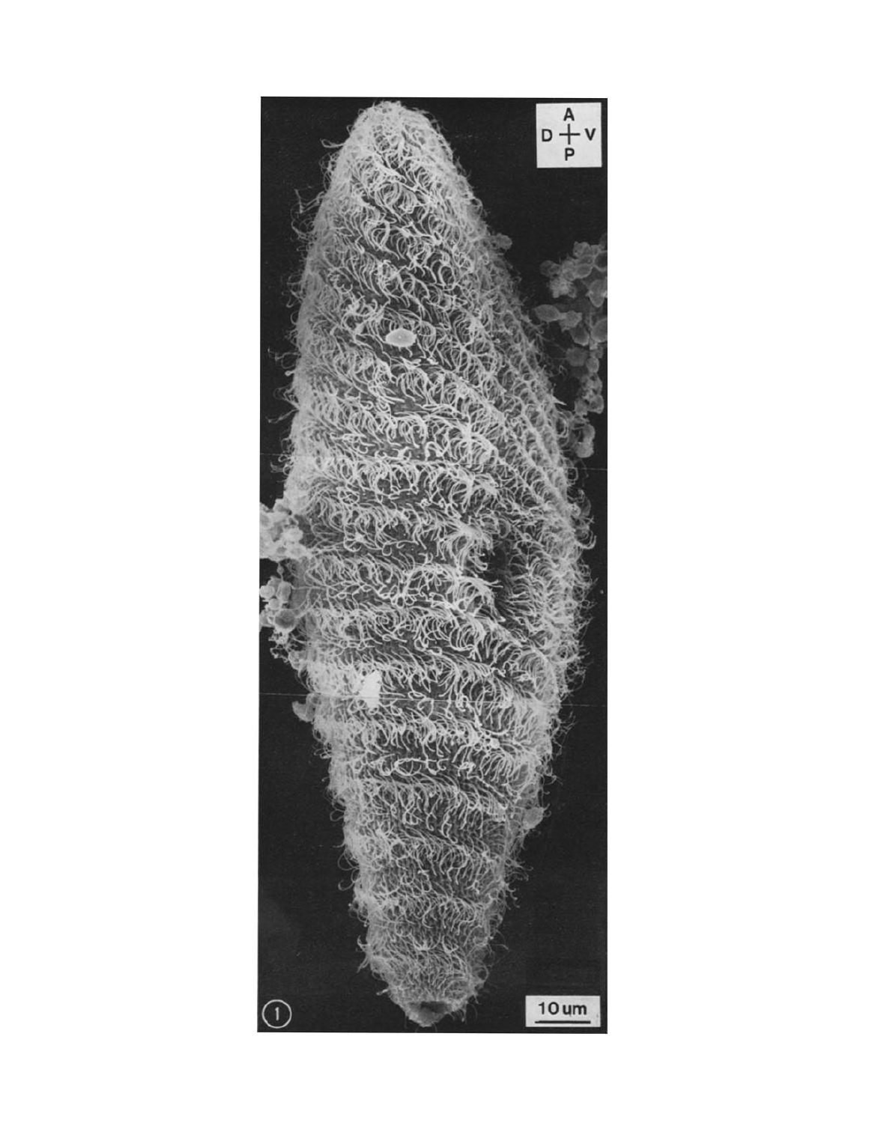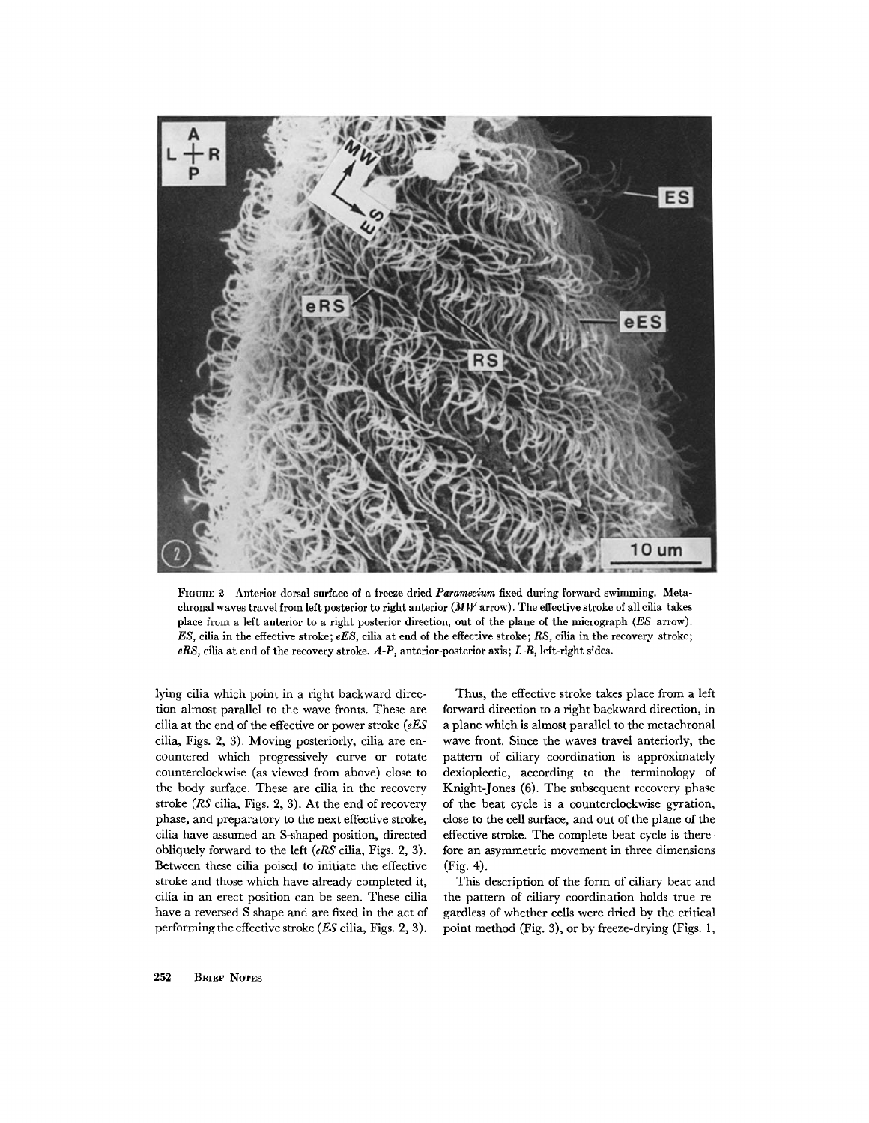

FIGURE 2 Anterior dorsal surface of a freeze-dried Paramecium fixed during forward swimming. Metachronal waves travel from left posterior to right anterior  $(MW$  arrow). The effective stroke of all cilia takes place from a left anterior to a right posterior direction, out of the plane of the micrograph (ES arrow). ES, cilia in the effective stroke;  $eES$ , cilia at end of the effective stroke; RS, cilia in the recovery stroke;  $eRS$ , cilia at end of the recovery stroke.  $A-P$ , anterior-posterior axis;  $L-R$ , left-right sides.

lying cilia which point in a right backward direction almost parallel to the wave fronts. These are cilia at the end of the effective or power stroke ( $eES$ cilia, Figs. 2, 3). Moving posteriorly, cilia are encountered which progressively curve or rotate counterclockwise (as viewed from above) close to the body surface. These are cilia in the recovery stroke (RS cilia, Figs. 2, 3) . At the end of recovery phase, and preparatory to the next effective stroke, cilia have assumed an S-shaped position, directed obliquely forward to the left ( $eRS$  cilia, Figs. 2, 3). Between these cilia poised to initiate the effective stroke and those which have already completed it, cilia in an erect position can be seen . These cilia have a reversed S shape and are fixed in the act of performing the effective stroke  $(ES \, cilia, Figs. 2, 3)$ .

Thus, the effective stroke takes place from a left forward direction to a right backward direction, in a plane which is almost parallel to the metachronal wave front. Since the waves travel anteriorly, the pattern of ciliary coordination is approximately dexioplectic, according to the terminology of Knight-Jones (6). The subsequent recovery phase of the beat cycle is a counterclockwise gyration, close to the cell surface, and out of the plane of the effective stroke . The complete beat cycle is therefore an asymmetric movement in three dimensions  $(Fig. 4)$ .

This description of the form of ciliary beat and the pattern of ciliary coordination holds true regardless of whether cells were dried by the critical point method (Fig. 3), or by freeze-drying (Figs. 1,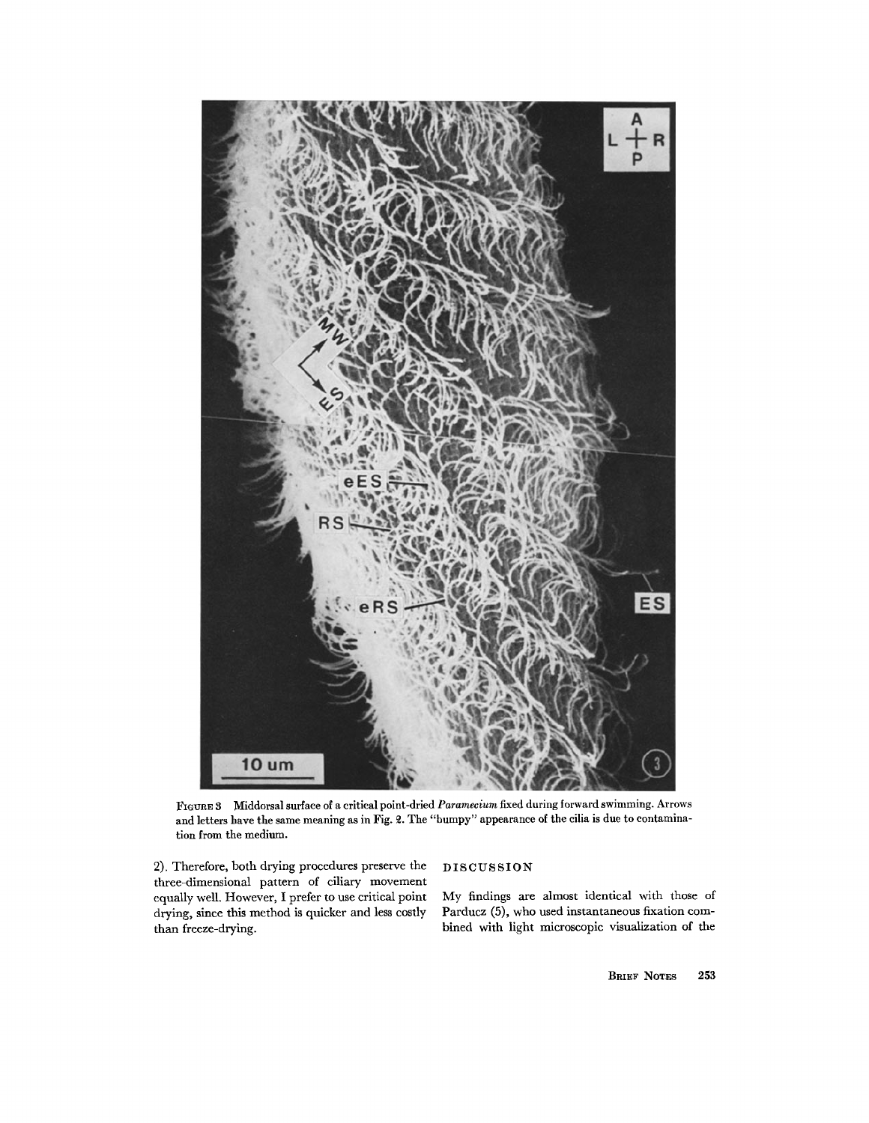

FIGURE 3 Middorsal surface of a critical point-dried Paramecium fixed during forward swimming . Arrows and letters have the same meaning as in Fig. 2. The "bumpy" appearance of the cilia is due to contamination from the medium.

2). Therefore, both drying procedures preserve the DISCUSSION three-dimensional pattern of ciliary movement equally well. However, I prefer to use critical point My findings are almost identical with those of drying, since this method is quicker and less costly Parducz (5), who used instantaneous fixation comdrying, since this method is quicker and less costly than freeze-drying.

bined with light microscopic visualization of the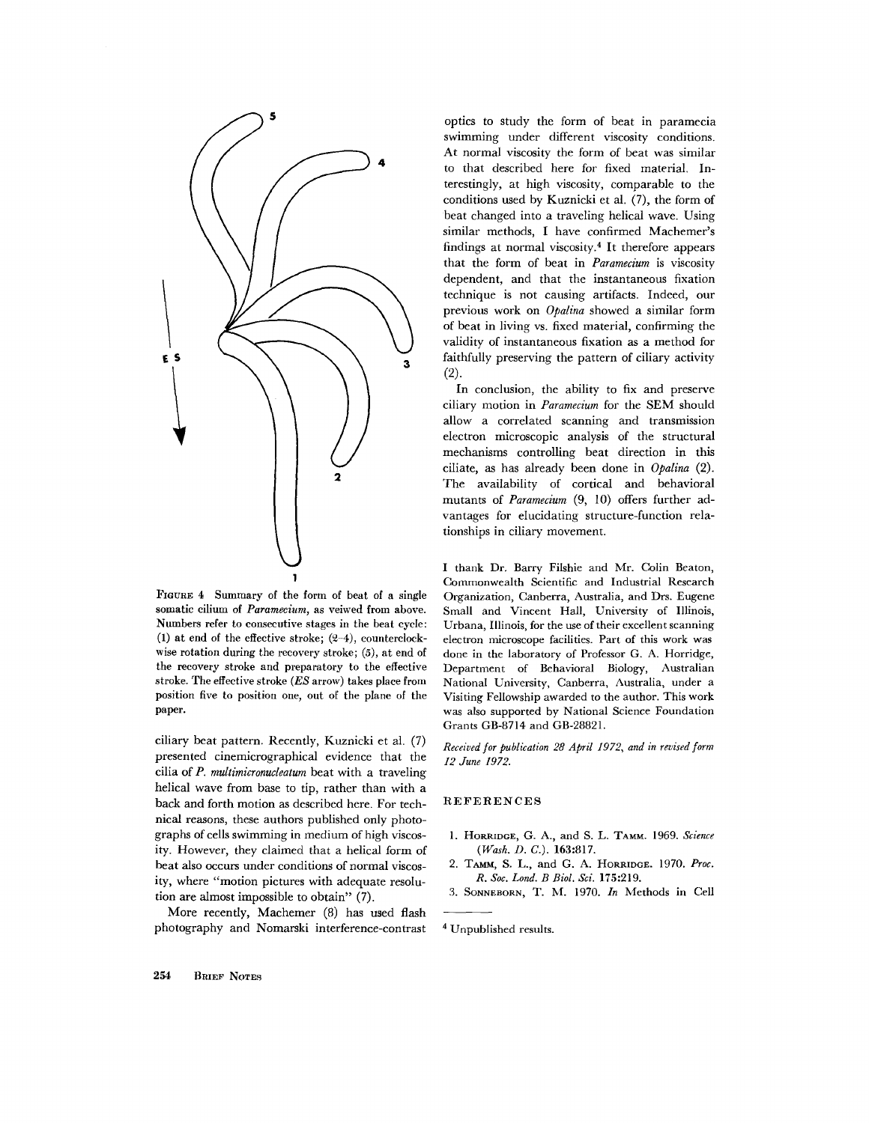

FIGURE 4 Summary of the form of beat of a single somatic cilium of Paramecium, as veiwed from above. Numbers refer to consecutive stages in the beat cycle : (1) at end of the effective stroke;  $(2-4)$ , counterclockwise rotation during the recovery stroke; (5), at end of the recovery stroke and preparatory to the effective stroke . The effective stroke (ES arrow) takes place from position five to position one, out of the plane of the paper.

ciliary beat pattern. Recently, Kuznicki et al. (7) presented cinemicrographical evidence that the cilia of P. multimicronucleatum beat with a traveling helical wave from base to tip, rather than with a back and forth motion as described here. For technical reasons, these authors published only photographs of cells swimming in medium of high viscosity. However, they claimed that a helical form of beat also occurs under conditions of normal viscosity, where "motion pictures with adequate resolution are almost impossible to obtain" (7) .

More recently, Machemer (8) has used flash photography and Nomarski interference-contrast

optics to study the form of beat in paramecia swimming under different viscosity conditions. At normal viscosity the form of beat was similar to that described here for fixed material. Interestingly, at high viscosity, comparable to the conditions used by Kuznicki et al. (7), the form of beat changed into a traveling helical wave . Using similar methods, I have confirmed Machemer's findings at normal viscosity.<sup>4</sup> It therefore appears that the form of beat in Paramecium is viscosity dependent, and that the instantaneous fixation technique is not causing artifacts . Indeed, our previous work on Opalina showed a similar form of beat in living vs . fixed material, confirming the validity of instantaneous fixation as a method for faithfully preserving the pattern of ciliary activity  $(2).$ 

In conclusion, the ability to fix and preserve ciliary motion in Paramecium for the SEM should allow a correlated scanning and transmission electron microscopic analysis of the structural mechanisms controlling beat direction in this ciliate, as has already been done in  $Opalina$  (2). The availability of cortical and behavioral mutants of Paramecium (9, 10) offers further advantages for elucidating structure-function relationships in ciliary movement.

I thank Dr. Barry Filshie and Mr. Colin Beaton, Commonwealth Scientific and Industrial Research Organization, Canberra, Australia, and Drs. Eugene Small and Vincent Hall, University of Illinois, Urbana, Illinois, for the use of their excellent scanning electron microscope facilities. Part of this work was done in the laboratory of Professor G. A. Horridge, Department of Behavioral Biology, Australian National University, Canberra, Australia, under a Visiting Fellowship awarded to the author. This work was also supported by National Science Foundation Grants GB-8714 and GB-28821 .

Received for publication 28 April 1972, and in revised form 12 June 1972.

### REFERENCES

- 1. HORRIDGE, G. A., and S. L. TAMM. 1969. Science  $(Wash. D. C.).$  163:817.
- 2. ТАММ, S. L., and G. A. HORRIDGE. 1970. Proc. R. Soc. Lond. B Biol. Sci. 175:219.
- 3. SONNEBORN, T. M. 1970. In Methods in Cell

<sup>4</sup> Unpublished results.